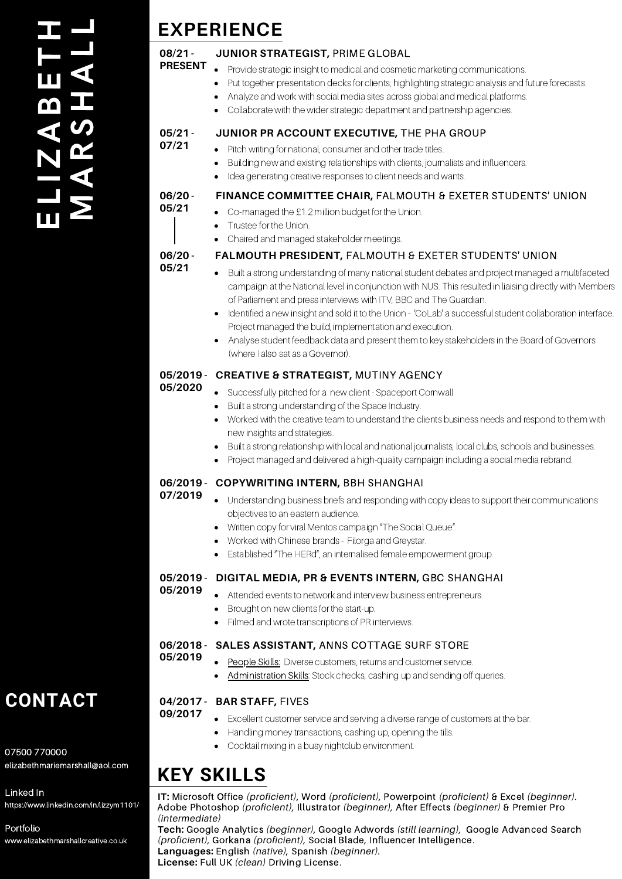### E $\overline{\phantom{a}}$ N<br>I A<br>I A A<u>ന</u> ETHMAR**SV)** HAL $\blacksquare$

# **EXPERIENCE**

#### **08/21 - PRESENT JUNIOR STRATEGIST,** PRIME GLOBAL

• Provide strategic insight to medical and cosmetic marketing communications.

- Put together presentation decks for clients, highlighting strategic analysis and future forecasts.  $\bullet$
- Analyze and work with social media sites across global and medical platforms.
- Collaborate with the wider strategic department and partnership agencies.

#### **05/21 - 07/21 JUNIOR PR ACCOUNT EXECUTIVE,** THE PHA GROUP

- Pitch writing for national, consumer and other trade titles.
	- Building new and existing relationships with clients, journalists and influencers.
	- Idea generating creative responses to client needs and wants.

## **FINANCE COMMITTEE CHAIR,** FALMOUTH & EXETER STUDENTS' UNION

- Co-managed the £1.2 million budget for the Union.
	- **•** Trustee for the Union.
	- Chaired and managed stakeholder meetings.

## **FALMOUTH PRESIDENT,** FALMOUTH & EXETER STUDENTS' UNION

**06/20 - 05/21**

**06/20 - 05/21**

- Built a strong understanding of many national student debates and project managed a multifaceted campaign at the National level in conjunction with NUS. This resulted in liaising directly with Members
	- of Parliament and press interviews with ITV, BBC and The Guardian.
- Identified a new insight and sold it to the Union 'CoLab' a successful student collaboration interface. Project managed the build, implementation and execution.
- Analyse student feedback data and present them to key stakeholders in the Board of Governors (where I also sat as a Governor).

#### **05/2019 - CREATIVE & STRATEGIST,** MUTINY AGENCY **05/2020**

- Successfully pitched for a new client Spaceport Cornwall
- Built a strong understanding of the Space Industry.
- Worked with the creative team to understand the clients business needs and respond to them with new insights and strategies.
- **Built a strong relationship with local and national journalists, local clubs, schools and businesses.**
- Project managed and delivered a high-quality campaign including a social media rebrand.

## **06/2019 - COPYWRITING INTERN,** BBH SHANGHAI

- **07/2019** Understanding business briefs and responding with copy ideas to support their communications objectives to an eastern audience.
	- Written copy for viral Mentos campaign "The Social Queue".
	- Worked with Chinese brands Filorga and Greystar.
	- Established "The HERd", an internalised female empowerment group.

#### **05/2019 - DIGITAL MEDIA, PR & EVENTS INTERN,** GBC SHANGHAI **05/2019**

- Attended events to network and interview business entrepreneurs.
	- **•** Brought on new clients for the start-up.
	- Filmed and wrote transcriptions of PR interviews.

#### **06/2018 - SALES ASSISTANT,** ANNS COTTAGE SURF STORE **05/2019**

- People Skills: Diverse customers, returns and customer service.
	- Administration Skills: Stock checks, cashing up and sending off queries.

### **04/2017 - BAR STAFF,** FIVES **09/2017**

- Excellent customer service and serving a diverse range of customers at the bar.
	- Handling money transactions, cashing up, opening the tills.
	- Cocktail mixing in a busy nightclub environment.

# **KEY SKILLS**

**IT:** Microsoft Office *(proficient)*, Word *(proficient)*, Powerpoint *(proficient)* & Excel *(beginner).* Adobe Photoshop *(proficient),* Illustrator *(beginner),* After Effects *(beginner)* & Premier Pro *(intermediate)*

**Tech:** Google Analytics *(beginner),* Google Adwords *(still learning),* Google Advanced Search *(proficient),* Gorkana *(proficient),* Social Blade*,* Influencer Intelligence. **Languages:** English *(native)*, Spanish *(beginner).* **License:** Full UK *(clean)* Driving License.

**CONTACT**

07500 770000 elizabethmariemarshall@aol.com

Linked In https://www.linkedin.com/in/lizzym1101/

Portfolio www.elizabethmarshallcreative.co.uk